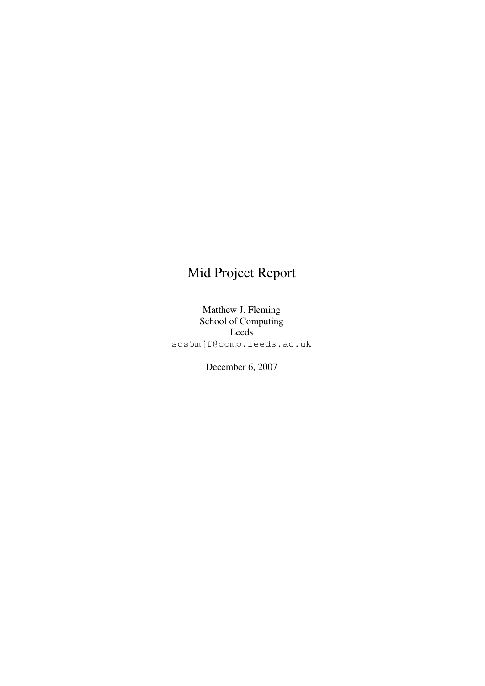## Mid Project Report

Matthew J. Fleming School of Computing Leeds scs5mjf@comp.leeds.ac.uk

December 6, 2007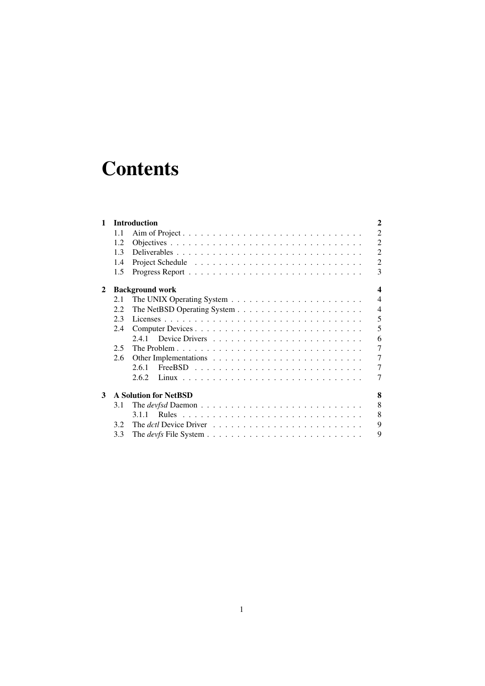# **Contents**

| 1              |                                                   | <b>Introduction</b>                                                                            | $\overline{2}$ |  |
|----------------|---------------------------------------------------|------------------------------------------------------------------------------------------------|----------------|--|
|                | 1.1                                               |                                                                                                | $\overline{2}$ |  |
|                | 1.2                                               |                                                                                                | $\overline{2}$ |  |
|                | 1.3                                               |                                                                                                | $\overline{2}$ |  |
|                | 1.4                                               |                                                                                                | $\overline{2}$ |  |
|                | 1.5                                               |                                                                                                | 3              |  |
| $\mathbf{2}^-$ | $\overline{\mathbf{4}}$<br><b>Background work</b> |                                                                                                |                |  |
|                | 2.1                                               |                                                                                                | $\overline{4}$ |  |
|                | 2.2                                               |                                                                                                | $\overline{4}$ |  |
|                | 2.3                                               |                                                                                                | 5              |  |
|                | 2.4                                               |                                                                                                | 5              |  |
|                |                                                   | 2.4.1                                                                                          | 6              |  |
|                | 2.5                                               |                                                                                                | $\overline{7}$ |  |
|                | 2.6                                               |                                                                                                | 7              |  |
|                |                                                   | 2.6.1                                                                                          | 7              |  |
|                |                                                   | 2.6.2                                                                                          | 7              |  |
| 3              |                                                   | <b>A Solution for NetBSD</b>                                                                   | 8              |  |
|                | 3.1                                               |                                                                                                | 8              |  |
|                |                                                   | 3.1.1                                                                                          | 8              |  |
|                | 3.2                                               | The <i>dctl</i> Device Driver $\ldots \ldots \ldots \ldots \ldots \ldots \ldots \ldots \ldots$ | 9              |  |
|                | 3.3                                               |                                                                                                | 9              |  |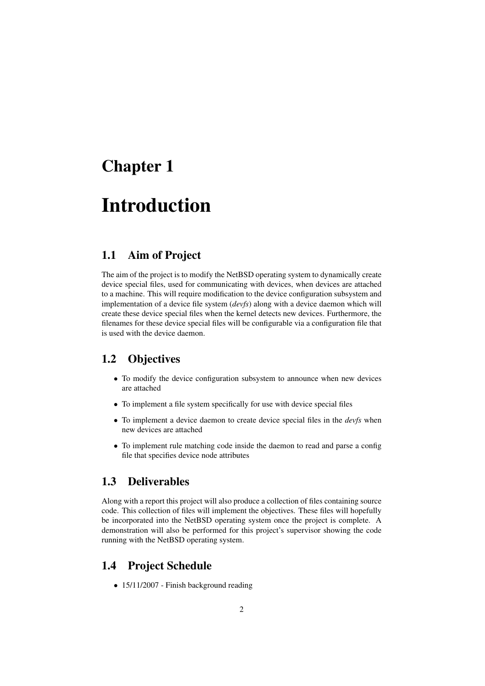## Chapter 1

# Introduction

## 1.1 Aim of Project

The aim of the project is to modify the NetBSD operating system to dynamically create device special files, used for communicating with devices, when devices are attached to a machine. This will require modification to the device configuration subsystem and implementation of a device file system (*devfs*) along with a device daemon which will create these device special files when the kernel detects new devices. Furthermore, the filenames for these device special files will be configurable via a configuration file that is used with the device daemon.

## 1.2 Objectives

- To modify the device configuration subsystem to announce when new devices are attached
- To implement a file system specifically for use with device special files
- To implement a device daemon to create device special files in the *devfs* when new devices are attached
- To implement rule matching code inside the daemon to read and parse a config file that specifies device node attributes

## 1.3 Deliverables

Along with a report this project will also produce a collection of files containing source code. This collection of files will implement the objectives. These files will hopefully be incorporated into the NetBSD operating system once the project is complete. A demonstration will also be performed for this project's supervisor showing the code running with the NetBSD operating system.

### 1.4 Project Schedule

• 15/11/2007 - Finish background reading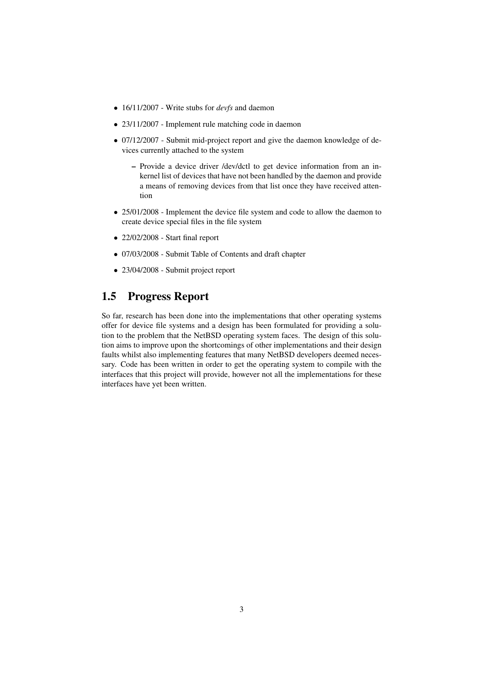- 16/11/2007 Write stubs for *devfs* and daemon
- 23/11/2007 Implement rule matching code in daemon
- 07/12/2007 Submit mid-project report and give the daemon knowledge of devices currently attached to the system
	- Provide a device driver /dev/dctl to get device information from an inkernel list of devices that have not been handled by the daemon and provide a means of removing devices from that list once they have received attention
- 25/01/2008 Implement the device file system and code to allow the daemon to create device special files in the file system
- 22/02/2008 Start final report
- 07/03/2008 Submit Table of Contents and draft chapter
- 23/04/2008 Submit project report

## 1.5 Progress Report

So far, research has been done into the implementations that other operating systems offer for device file systems and a design has been formulated for providing a solution to the problem that the NetBSD operating system faces. The design of this solution aims to improve upon the shortcomings of other implementations and their design faults whilst also implementing features that many NetBSD developers deemed necessary. Code has been written in order to get the operating system to compile with the interfaces that this project will provide, however not all the implementations for these interfaces have yet been written.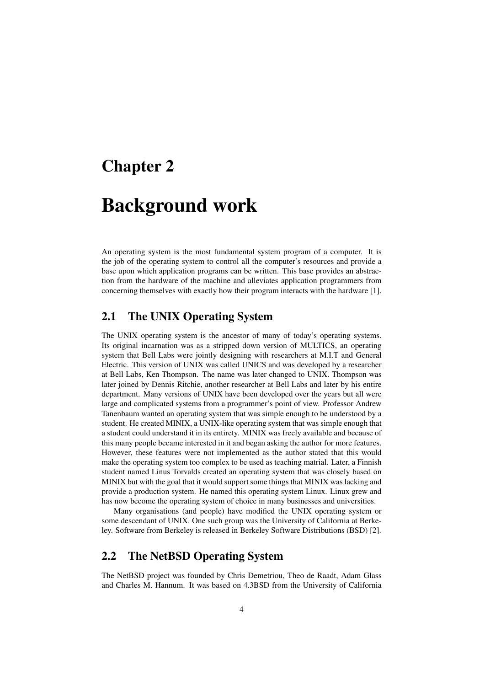## Chapter 2

## Background work

An operating system is the most fundamental system program of a computer. It is the job of the operating system to control all the computer's resources and provide a base upon which application programs can be written. This base provides an abstraction from the hardware of the machine and alleviates application programmers from concerning themselves with exactly how their program interacts with the hardware [1].

## 2.1 The UNIX Operating System

The UNIX operating system is the ancestor of many of today's operating systems. Its original incarnation was as a stripped down version of MULTICS, an operating system that Bell Labs were jointly designing with researchers at M.I.T and General Electric. This version of UNIX was called UNICS and was developed by a researcher at Bell Labs, Ken Thompson. The name was later changed to UNIX. Thompson was later joined by Dennis Ritchie, another researcher at Bell Labs and later by his entire department. Many versions of UNIX have been developed over the years but all were large and complicated systems from a programmer's point of view. Professor Andrew Tanenbaum wanted an operating system that was simple enough to be understood by a student. He created MINIX, a UNIX-like operating system that was simple enough that a student could understand it in its entirety. MINIX was freely available and because of this many people became interested in it and began asking the author for more features. However, these features were not implemented as the author stated that this would make the operating system too complex to be used as teaching matrial. Later, a Finnish student named Linus Torvalds created an operating system that was closely based on MINIX but with the goal that it would support some things that MINIX was lacking and provide a production system. He named this operating system Linux. Linux grew and has now become the operating system of choice in many businesses and universities.

Many organisations (and people) have modified the UNIX operating system or some descendant of UNIX. One such group was the University of California at Berkeley. Software from Berkeley is released in Berkeley Software Distributions (BSD) [2].

## 2.2 The NetBSD Operating System

The NetBSD project was founded by Chris Demetriou, Theo de Raadt, Adam Glass and Charles M. Hannum. It was based on 4.3BSD from the University of California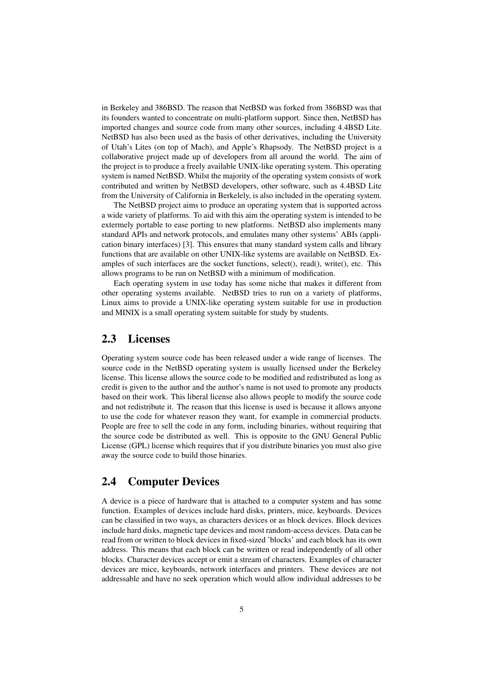in Berkeley and 386BSD. The reason that NetBSD was forked from 386BSD was that its founders wanted to concentrate on multi-platform support. Since then, NetBSD has imported changes and source code from many other sources, including 4.4BSD Lite. NetBSD has also been used as the basis of other derivatives, including the University of Utah's Lites (on top of Mach), and Apple's Rhapsody. The NetBSD project is a collaborative project made up of developers from all around the world. The aim of the project is to produce a freely available UNIX-like operating system. This operating system is named NetBSD. Whilst the majority of the operating system consists of work contributed and written by NetBSD developers, other software, such as 4.4BSD Lite from the University of California in Berkelely, is also included in the operating system.

The NetBSD project aims to produce an operating system that is supported across a wide variety of platforms. To aid with this aim the operating system is intended to be extermely portable to ease porting to new platforms. NetBSD also implements many standard APIs and network protocols, and emulates many other systems' ABIs (application binary interfaces) [3]. This ensures that many standard system calls and library functions that are available on other UNIX-like systems are available on NetBSD. Examples of such interfaces are the socket functions, select(), read(), write(), etc. This allows programs to be run on NetBSD with a minimum of modification.

Each operating system in use today has some niche that makes it different from other operating systems available. NetBSD tries to run on a variety of platforms, Linux aims to provide a UNIX-like operating system suitable for use in production and MINIX is a small operating system suitable for study by students.

#### 2.3 Licenses

Operating system source code has been released under a wide range of licenses. The source code in the NetBSD operating system is usually licensed under the Berkeley license. This license allows the source code to be modified and redistributed as long as credit is given to the author and the author's name is not used to promote any products based on their work. This liberal license also allows people to modify the source code and not redistribute it. The reason that this license is used is because it allows anyone to use the code for whatever reason they want, for example in commercial products. People are free to sell the code in any form, including binaries, without requiring that the source code be distributed as well. This is opposite to the GNU General Public License (GPL) license which requires that if you distribute binaries you must also give away the source code to build those binaries.

### 2.4 Computer Devices

A device is a piece of hardware that is attached to a computer system and has some function. Examples of devices include hard disks, printers, mice, keyboards. Devices can be classified in two ways, as characters devices or as block devices. Block devices include hard disks, magnetic tape devices and most random-access devices. Data can be read from or written to block devices in fixed-sized 'blocks' and each block has its own address. This means that each block can be written or read independently of all other blocks. Character devices accept or emit a stream of characters. Examples of character devices are mice, keyboards, network interfaces and printers. These devices are not addressable and have no seek operation which would allow individual addresses to be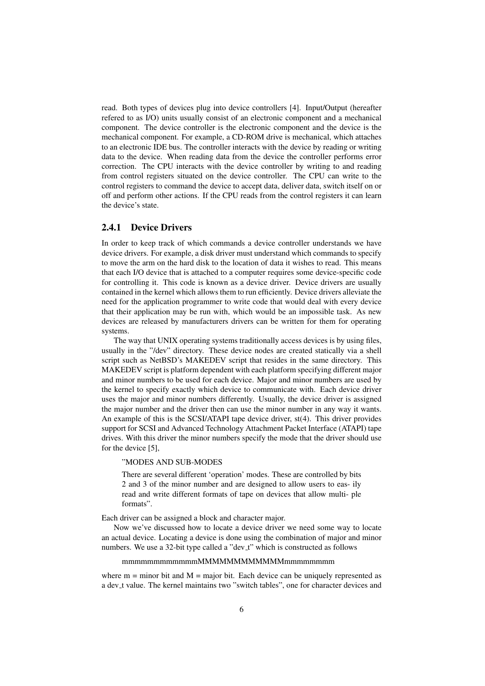read. Both types of devices plug into device controllers [4]. Input/Output (hereafter refered to as I/O) units usually consist of an electronic component and a mechanical component. The device controller is the electronic component and the device is the mechanical component. For example, a CD-ROM drive is mechanical, which attaches to an electronic IDE bus. The controller interacts with the device by reading or writing data to the device. When reading data from the device the controller performs error correction. The CPU interacts with the device controller by writing to and reading from control registers situated on the device controller. The CPU can write to the control registers to command the device to accept data, deliver data, switch itself on or off and perform other actions. If the CPU reads from the control registers it can learn the device's state.

#### 2.4.1 Device Drivers

In order to keep track of which commands a device controller understands we have device drivers. For example, a disk driver must understand which commands to specify to move the arm on the hard disk to the location of data it wishes to read. This means that each I/O device that is attached to a computer requires some device-specific code for controlling it. This code is known as a device driver. Device drivers are usually contained in the kernel which allows them to run efficiently. Device drivers alleviate the need for the application programmer to write code that would deal with every device that their application may be run with, which would be an impossible task. As new devices are released by manufacturers drivers can be written for them for operating systems.

The way that UNIX operating systems traditionally access devices is by using files, usually in the "/dev" directory. These device nodes are created statically via a shell script such as NetBSD's MAKEDEV script that resides in the same directory. This MAKEDEV script is platform dependent with each platform specifying different major and minor numbers to be used for each device. Major and minor numbers are used by the kernel to specify exactly which device to communicate with. Each device driver uses the major and minor numbers differently. Usually, the device driver is assigned the major number and the driver then can use the minor number in any way it wants. An example of this is the SCSI/ATAPI tape device driver, st(4). This driver provides support for SCSI and Advanced Technology Attachment Packet Interface (ATAPI) tape drives. With this driver the minor numbers specify the mode that the driver should use for the device [5],

#### "MODES AND SUB-MODES

There are several different 'operation' modes. These are controlled by bits 2 and 3 of the minor number and are designed to allow users to eas- ily read and write different formats of tape on devices that allow multi- ple formats".

Each driver can be assigned a block and character major.

Now we've discussed how to locate a device driver we need some way to locate an actual device. Locating a device is done using the combination of major and minor numbers. We use a 32-bit type called a "dev<sub>-t"</sub> which is constructed as follows

#### mmmmmmmmmmmmMMMMMMMMMMMMmmmmmmmm

where  $m =$  minor bit and  $M =$  major bit. Each device can be uniquely represented as a dev t value. The kernel maintains two "switch tables", one for character devices and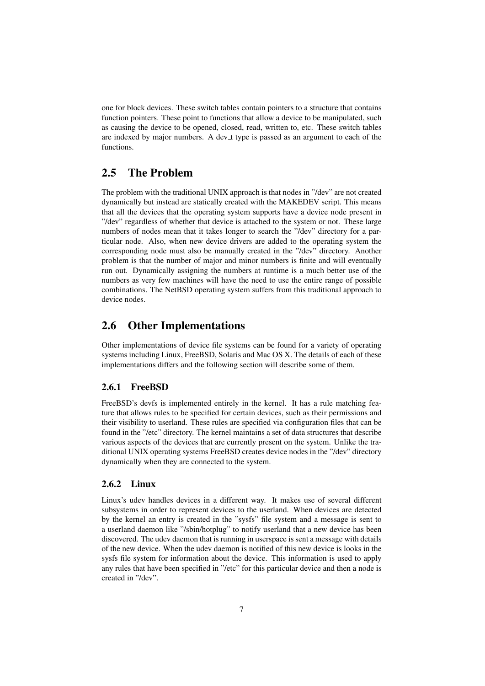one for block devices. These switch tables contain pointers to a structure that contains function pointers. These point to functions that allow a device to be manipulated, such as causing the device to be opened, closed, read, written to, etc. These switch tables are indexed by major numbers. A dev\_t type is passed as an argument to each of the functions.

### 2.5 The Problem

The problem with the traditional UNIX approach is that nodes in "/dev" are not created dynamically but instead are statically created with the MAKEDEV script. This means that all the devices that the operating system supports have a device node present in "/dev" regardless of whether that device is attached to the system or not. These large numbers of nodes mean that it takes longer to search the "/dev" directory for a particular node. Also, when new device drivers are added to the operating system the corresponding node must also be manually created in the "/dev" directory. Another problem is that the number of major and minor numbers is finite and will eventually run out. Dynamically assigning the numbers at runtime is a much better use of the numbers as very few machines will have the need to use the entire range of possible combinations. The NetBSD operating system suffers from this traditional approach to device nodes.

### 2.6 Other Implementations

Other implementations of device file systems can be found for a variety of operating systems including Linux, FreeBSD, Solaris and Mac OS X. The details of each of these implementations differs and the following section will describe some of them.

#### 2.6.1 FreeBSD

FreeBSD's devfs is implemented entirely in the kernel. It has a rule matching feature that allows rules to be specified for certain devices, such as their permissions and their visibility to userland. These rules are specified via configuration files that can be found in the "/etc" directory. The kernel maintains a set of data structures that describe various aspects of the devices that are currently present on the system. Unlike the traditional UNIX operating systems FreeBSD creates device nodes in the "/dev" directory dynamically when they are connected to the system.

#### 2.6.2 Linux

Linux's udev handles devices in a different way. It makes use of several different subsystems in order to represent devices to the userland. When devices are detected by the kernel an entry is created in the "sysfs" file system and a message is sent to a userland daemon like "/sbin/hotplug" to notify userland that a new device has been discovered. The udev daemon that is running in userspace is sent a message with details of the new device. When the udev daemon is notified of this new device is looks in the sysfs file system for information about the device. This information is used to apply any rules that have been specified in "/etc" for this particular device and then a node is created in "/dev".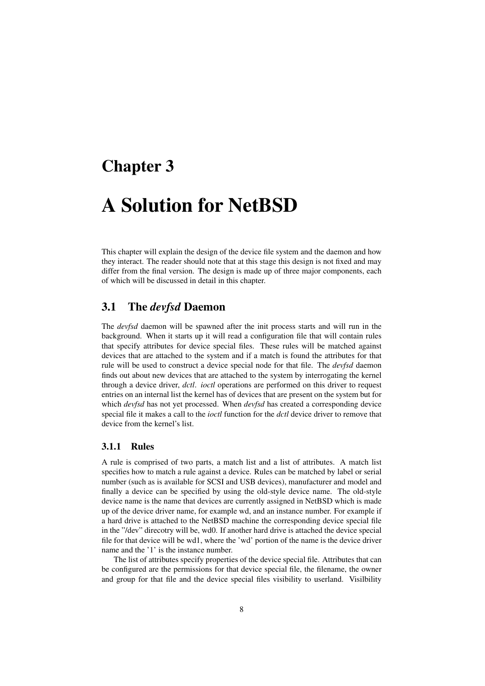## Chapter 3

# A Solution for NetBSD

This chapter will explain the design of the device file system and the daemon and how they interact. The reader should note that at this stage this design is not fixed and may differ from the final version. The design is made up of three major components, each of which will be discussed in detail in this chapter.

### 3.1 The *devfsd* Daemon

The *devfsd* daemon will be spawned after the init process starts and will run in the background. When it starts up it will read a configuration file that will contain rules that specify attributes for device special files. These rules will be matched against devices that are attached to the system and if a match is found the attributes for that rule will be used to construct a device special node for that file. The *devfsd* daemon finds out about new devices that are attached to the system by interrogating the kernel through a device driver, *dctl*. *ioctl* operations are performed on this driver to request entries on an internal list the kernel has of devices that are present on the system but for which *devfsd* has not yet processed. When *devfsd* has created a corresponding device special file it makes a call to the *ioctl* function for the *dctl* device driver to remove that device from the kernel's list.

#### 3.1.1 Rules

A rule is comprised of two parts, a match list and a list of attributes. A match list specifies how to match a rule against a device. Rules can be matched by label or serial number (such as is available for SCSI and USB devices), manufacturer and model and finally a device can be specified by using the old-style device name. The old-style device name is the name that devices are currently assigned in NetBSD which is made up of the device driver name, for example wd, and an instance number. For example if a hard drive is attached to the NetBSD machine the corresponding device special file in the "/dev" direcotry will be, wd0. If another hard drive is attached the device special file for that device will be wd1, where the 'wd' portion of the name is the device driver name and the '1' is the instance number.

The list of attributes specify properties of the device special file. Attributes that can be configured are the permissions for that device special file, the filename, the owner and group for that file and the device special files visibility to userland. Visilbility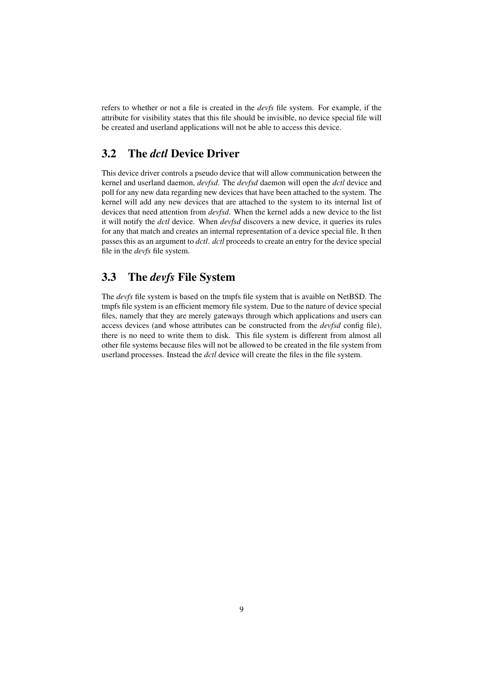refers to whether or not a file is created in the *devfs* file system. For example, if the attribute for visibility states that this file should be invisible, no device special file will be created and userland applications will not be able to access this device.

## 3.2 The *dctl* Device Driver

This device driver controls a pseudo device that will allow communication between the kernel and userland daemon, *devfsd*. The *devfsd* daemon will open the *dctl* device and poll for any new data regarding new devices that have been attached to the system. The kernel will add any new devices that are attached to the system to its internal list of devices that need attention from *devfsd*. When the kernel adds a new device to the list it will notify the *dctl* device. When *devfsd* discovers a new device, it queries its rules for any that match and creates an internal representation of a device special file. It then passes this as an argument to *dctl*. *dctl* proceeds to create an entry for the device special file in the *devfs* file system.

## 3.3 The *devfs* File System

The *devfs* file system is based on the tmpfs file system that is avaible on NetBSD. The tmpfs file system is an efficient memory file system. Due to the nature of device special files, namely that they are merely gateways through which applications and users can access devices (and whose attributes can be constructed from the *devfsd* config file), there is no need to write them to disk. This file system is different from almost all other file systems because files will not be allowed to be created in the file system from userland processes. Instead the *dctl* device will create the files in the file system.